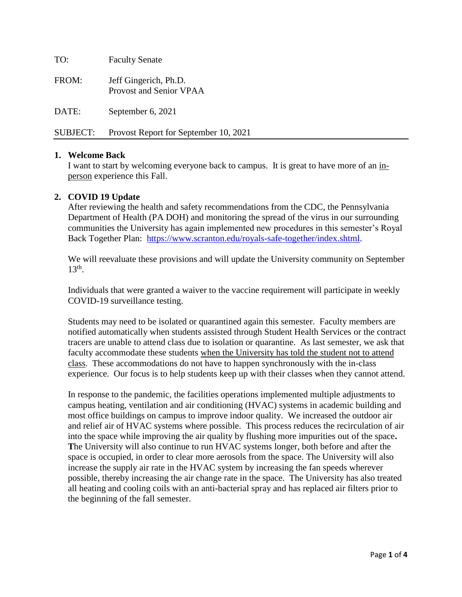TO: Faculty Senate FROM: Jeff Gingerich, Ph.D. Provost and Senior VPAA DATE: September 6, 2021 SUBJECT: Provost Report for September 10, 2021

### **1. Welcome Back**

I want to start by welcoming everyone back to campus. It is great to have more of an inperson experience this Fall.

### **2. COVID 19 Update**

After reviewing the health and safety recommendations from the CDC, the Pennsylvania Department of Health (PA DOH) and monitoring the spread of the virus in our surrounding communities the University has again implemented new procedures in this semester's Royal Back Together Plan: [https://www.scranton.edu/royals-safe-together/index.shtml.](https://www.scranton.edu/royals-safe-together/index.shtml)

We will reevaluate these provisions and will update the University community on September 13<sup>th</sup>.

Individuals that were granted a waiver to the vaccine requirement will participate in weekly COVID-19 surveillance testing.

Students may need to be isolated or quarantined again this semester. Faculty members are notified automatically when students assisted through Student Health Services or the contract tracers are unable to attend class due to isolation or quarantine. As last semester, we ask that faculty accommodate these students when the University has told the student not to attend class. These accommodations do not have to happen synchronously with the in-class experience. Our focus is to help students keep up with their classes when they cannot attend.

In response to the pandemic, the facilities operations implemented multiple adjustments to campus heating, ventilation and air conditioning (HVAC) systems in academic building and most office buildings on campus to improve indoor quality. We increased the outdoor air and relief air of HVAC systems where possible. This process reduces the recirculation of air into the space while improving the air quality by flushing more impurities out of the space**. T**he University will also continue to run HVAC systems longer, both before and after the space is occupied, in order to clear more aerosols from the space. The University will also increase the supply air rate in the HVAC system by increasing the fan speeds wherever possible, thereby increasing the air change rate in the space. The University has also treated all heating and cooling coils with an anti-bacterial spray and has replaced air filters prior to the beginning of the fall semester.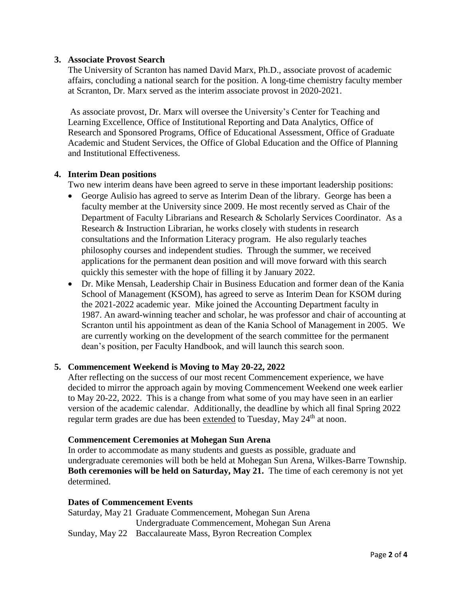## **3. Associate Provost Search**

The University of Scranton has named David Marx, Ph.D., associate provost of academic affairs, concluding a national search for the position. A long-time chemistry faculty member at Scranton, Dr. Marx served as the interim associate provost in 2020-2021.

As associate provost, Dr. Marx will oversee the University's Center for Teaching and Learning Excellence, Office of Institutional Reporting and Data Analytics, Office of Research and Sponsored Programs, Office of Educational Assessment, Office of Graduate Academic and Student Services, the Office of Global Education and the Office of Planning and Institutional Effectiveness.

### **4. Interim Dean positions**

Two new interim deans have been agreed to serve in these important leadership positions:

- George Aulisio has agreed to serve as Interim Dean of the library. George has been a faculty member at the University since 2009. He most recently served as Chair of the Department of Faculty Librarians and Research & Scholarly Services Coordinator. As a Research & Instruction Librarian, he works closely with students in research consultations and the Information Literacy program. He also regularly teaches philosophy courses and independent studies. Through the summer, we received applications for the permanent dean position and will move forward with this search quickly this semester with the hope of filling it by January 2022.
- Dr. Mike Mensah, Leadership Chair in Business Education and former dean of the Kania School of Management (KSOM), has agreed to serve as Interim Dean for KSOM during the 2021-2022 academic year. Mike joined the Accounting Department faculty in 1987. An award-winning teacher and scholar, he was professor and chair of accounting at Scranton until his appointment as dean of the Kania School of Management in 2005. We are currently working on the development of the search committee for the permanent dean's position, per Faculty Handbook, and will launch this search soon.

### **5. Commencement Weekend is Moving to May 20-22, 2022**

After reflecting on the success of our most recent Commencement experience, we have decided to mirror the approach again by moving Commencement Weekend one week earlier to May 20-22, 2022. This is a change from what some of you may have seen in an earlier version of the academic calendar. Additionally, the deadline by which all final Spring 2022 regular term grades are due has been extended to Tuesday, May 24<sup>th</sup> at noon.

### **Commencement Ceremonies at Mohegan Sun Arena**

In order to accommodate as many students and guests as possible, graduate and undergraduate ceremonies will both be held at Mohegan Sun Arena, Wilkes-Barre Township. **Both ceremonies will be held on Saturday, May 21.** The time of each ceremony is not yet determined.

### **Dates of Commencement Events**

Saturday, May 21 Graduate Commencement, Mohegan Sun Arena Undergraduate Commencement, Mohegan Sun Arena Sunday, May 22 Baccalaureate Mass, Byron Recreation Complex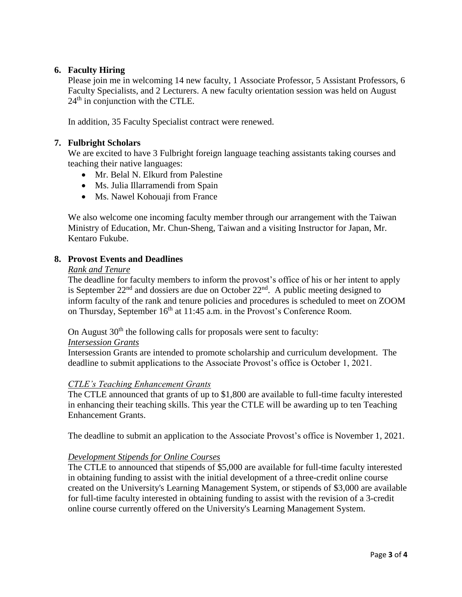# **6. Faculty Hiring**

Please join me in welcoming 14 new faculty, 1 Associate Professor, 5 Assistant Professors, 6 Faculty Specialists, and 2 Lecturers. A new faculty orientation session was held on August 24<sup>th</sup> in conjunction with the CTLE.

In addition, 35 Faculty Specialist contract were renewed.

## **7. Fulbright Scholars**

We are excited to have 3 Fulbright foreign language teaching assistants taking courses and teaching their native languages:

- Mr. Belal N. Elkurd from Palestine
- Ms. Julia Illarramendi from Spain
- Ms. Nawel Kohouaji from France

We also welcome one incoming faculty member through our arrangement with the Taiwan Ministry of Education, Mr. Chun-Sheng, Taiwan and a visiting Instructor for Japan, Mr. Kentaro Fukube.

### **8. Provost Events and Deadlines**

### *Rank and Tenure*

The deadline for faculty members to inform the provost's office of his or her intent to apply is September  $22<sup>nd</sup>$  and dossiers are due on October  $22<sup>nd</sup>$ . A public meeting designed to inform faculty of the rank and tenure policies and procedures is scheduled to meet on ZOOM on Thursday, September  $16<sup>th</sup>$  at 11:45 a.m. in the Provost's Conference Room.

On August  $30<sup>th</sup>$  the following calls for proposals were sent to faculty:

### *Intersession Grants*

Intersession Grants are intended to promote scholarship and curriculum development. The deadline to submit applications to the Associate Provost's office is October 1, 2021.

### *CTLE's Teaching Enhancement Grants*

The CTLE announced that grants of up to \$1,800 are available to full-time faculty interested in enhancing their teaching skills. This year the CTLE will be awarding up to ten Teaching Enhancement Grants.

The deadline to submit an application to the Associate Provost's office is November 1, 2021.

### *Development Stipends for Online Courses*

The CTLE to announced that stipends of \$5,000 are available for full-time faculty interested in obtaining funding to assist with the initial development of a three-credit online course created on the University's Learning Management System, or stipends of \$3,000 are available for full-time faculty interested in obtaining funding to assist with the revision of a 3-credit online course currently offered on the University's Learning Management System.